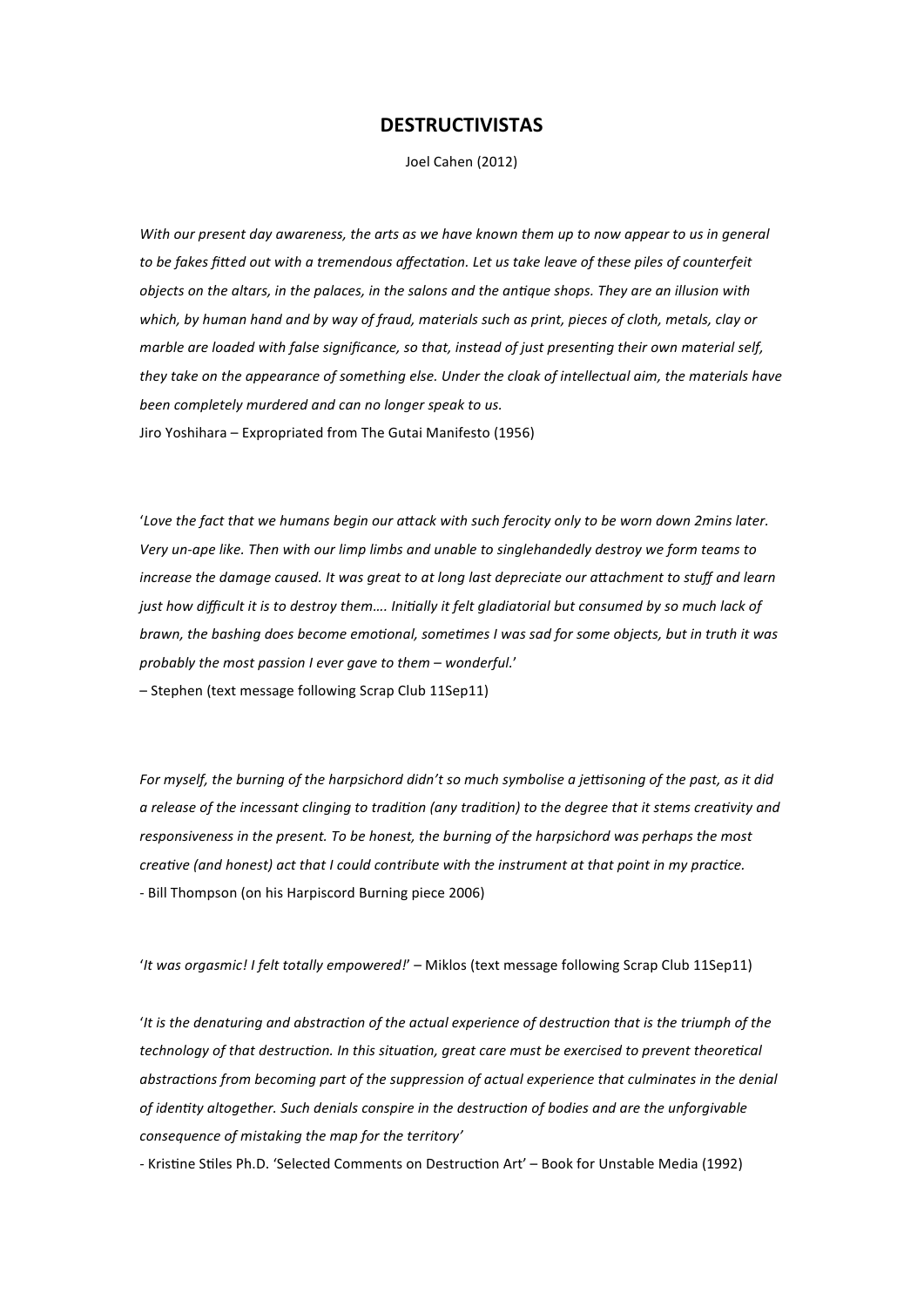# **DESTRUCTIVISTAS**

Joel Cahen (2012)

*With our present day awareness, the arts as we have known them up to now appear to us in general* to be fakes fitted out with a tremendous affectation. Let us take leave of these piles of counterfeit *objects on the altars, in the palaces, in the salons and the antique shops. They are an illusion with which, by human hand and by way of fraud, materials such as print, pieces of cloth, metals, clay or marble are loaded with false significance, so that, instead of just presenting their own material self, they take on the appearance of something else. Under the cloak of intellectual aim, the materials have been completely murdered and can no longer speak to us.* Jiro Yoshihara – Expropriated from The Gutai Manifesto (1956)

'Love the fact that we humans begin our attack with such ferocity only to be worn down 2mins later. *Very un‐ape like. Then with our limp limbs and unable to singlehandedly destroy we form teams to increase the damage caused. It was great to at long last depreciate our attachment to stuff and learn just how difficult it is to destroy them.... Initially it felt gladiatorial but consumed by so much lack of brawn, the bashing does become emotional, sometimes I was sad for some objects, but in truth it was probably the most passion I ever gave to them – wonderful.*'

– Stephen (text message following Scrap Club 11Sep11)

For myself, the burning of the harpsichord didn't so much symbolise a jettisoning of the past, as it did *a release of the incessant clinging to tradition (any tradition) to the degree that it stems creativity and responsiveness in the present. To be honest, the burning of the harpsichord was perhaps the most creative (and honest) act that I could contribute with the instrument at that point in my practice.* ‐ Bill Thompson (on his Harpiscord Burning piece 2006)

'*It was orgasmic! I felt totally empowered!*' – Miklos (text message following Scrap Club 11Sep11)

'*It is the denaturing and abstraction of the actual experience of destruction that is the triumph of the technology of that destruction. In this situation, great care must be exercised to prevent theoretical abstractions from becoming part of the suppression of actual experience that culminates in the denial of identity altogether. Such denials conspire in the destruction of bodies and are the unforgivable consequence of mistaking the map for the territory'*

- Kristine Stiles Ph.D. 'Selected Comments on Destruction Art' - Book for Unstable Media (1992)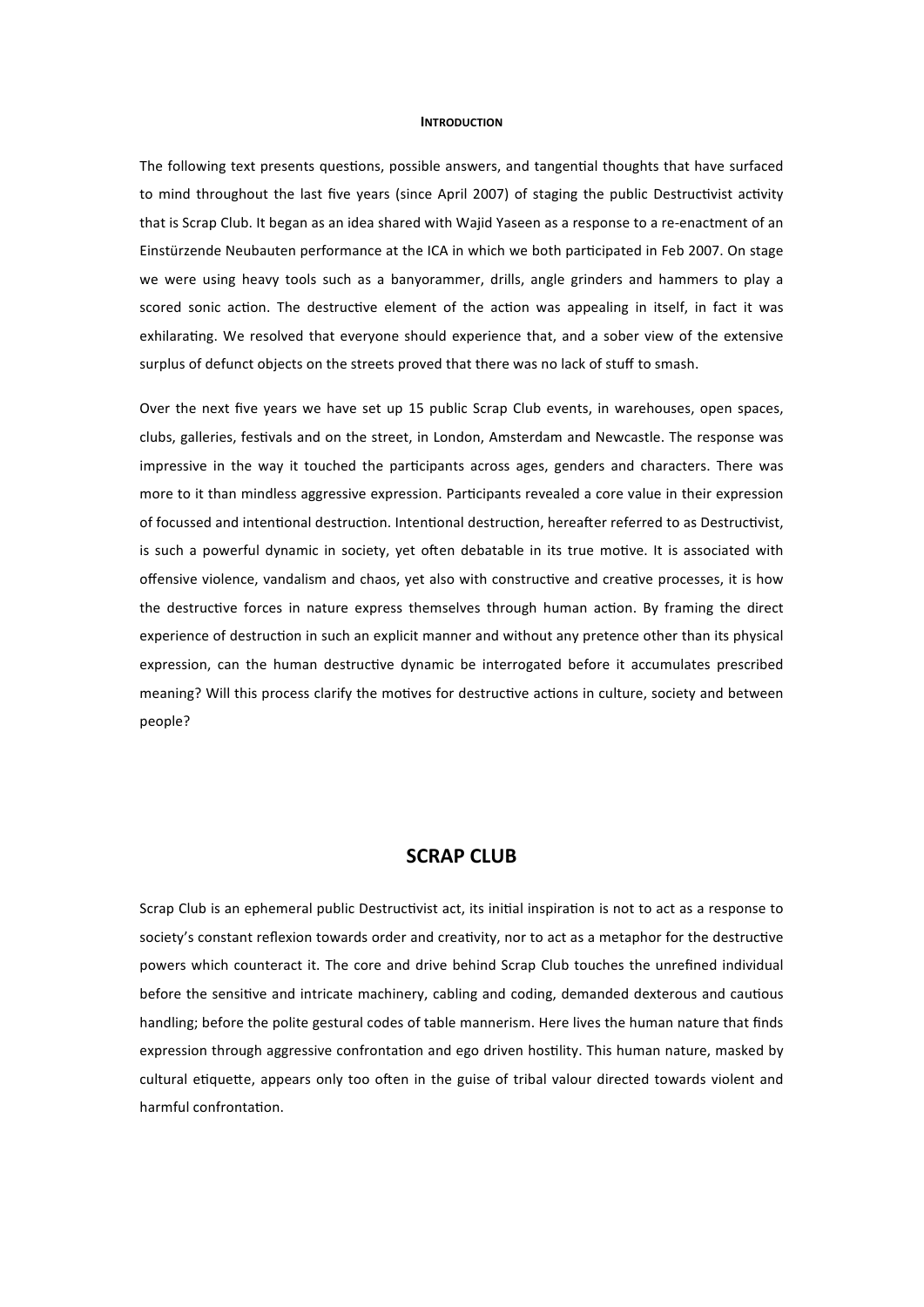#### **INTRODUCTION**

The following text presents questions, possible answers, and tangential thoughts that have surfaced to mind throughout the last five years (since April 2007) of staging the public Destructivist activity that is Scrap Club. It began as an idea shared with Wajid Yaseen as a response to a re‐enactment of an Einstürzende Neubauten performance at the ICA in which we both participated in Feb 2007. On stage we were using heavy tools such as a banyorammer, drills, angle grinders and hammers to play a scored sonic action. The destructive element of the action was appealing in itself, in fact it was exhilarating. We resolved that everyone should experience that, and a sober view of the extensive surplus of defunct objects on the streets proved that there was no lack of stuff to smash.

Over the next five years we have set up 15 public Scrap Club events, in warehouses, open spaces, clubs, galleries, festivals and on the street, in London, Amsterdam and Newcastle. The response was impressive in the way it touched the participants across ages, genders and characters. There was more to it than mindless aggressive expression. Participants revealed a core value in their expression of focussed and intentional destruction. Intentional destruction, hereafter referred to as Destructivist, is such a powerful dynamic in society, yet often debatable in its true motive. It is associated with offensive violence, vandalism and chaos, yet also with constructive and creative processes, it is how the destructive forces in nature express themselves through human action. By framing the direct experience of destruction in such an explicit manner and without any pretence other than its physical expression, can the human destructive dynamic be interrogated before it accumulates prescribed meaning? Will this process clarify the motives for destructive actions in culture, society and between people?

# **SCRAP CLUB**

Scrap Club is an ephemeral public Destructivist act, its initial inspiration is not to act as a response to society's constant reflexion towards order and creativity, nor to act as a metaphor for the destructive powers which counteract it. The core and drive behind Scrap Club touches the unrefined individual before the sensitive and intricate machinery, cabling and coding, demanded dexterous and cautious handling; before the polite gestural codes of table mannerism. Here lives the human nature that finds expression through aggressive confrontation and ego driven hostility. This human nature, masked by cultural etiquette, appears only too often in the guise of tribal valour directed towards violent and harmful confrontation.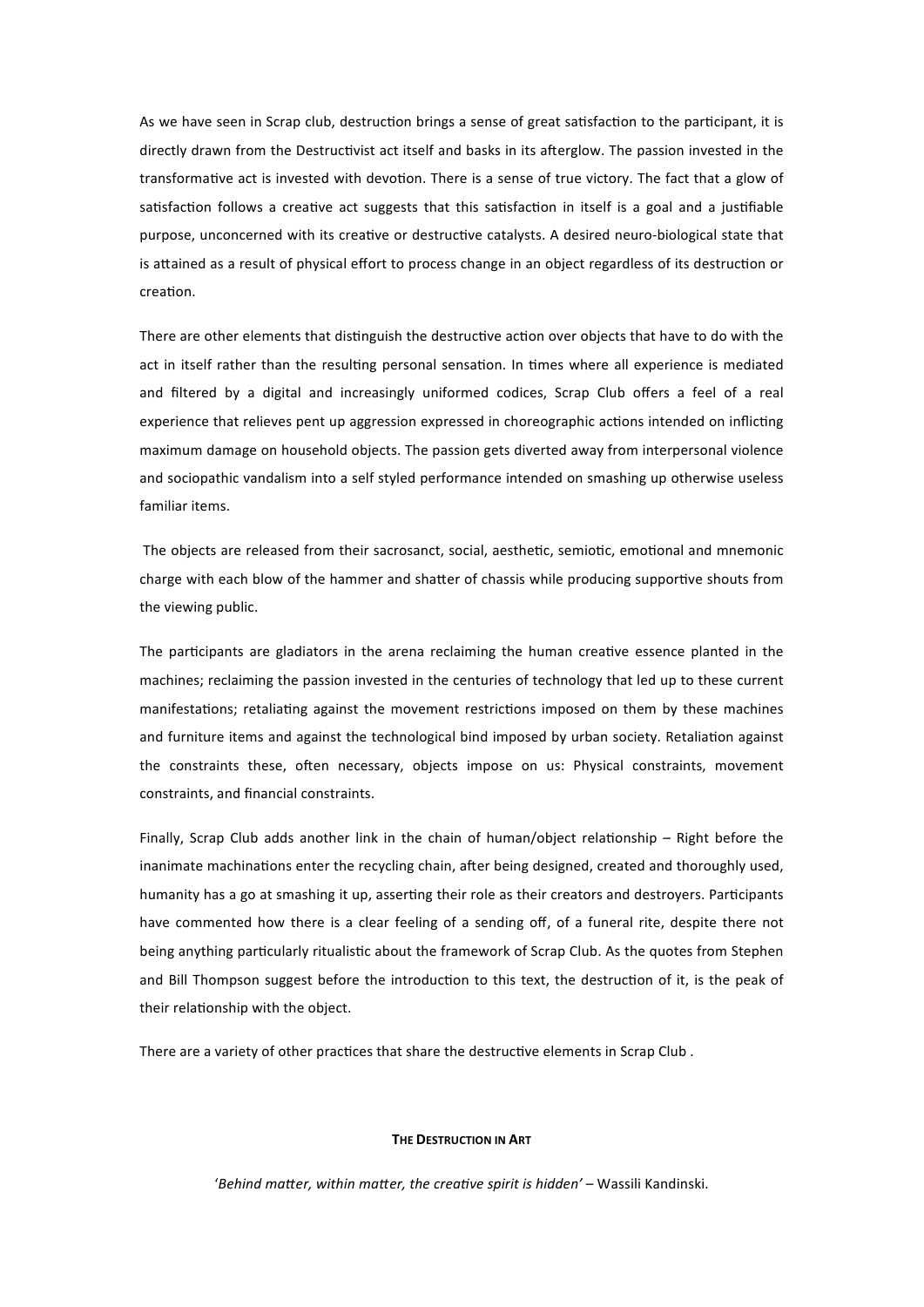As we have seen in Scrap club, destruction brings a sense of great satisfaction to the participant, it is directly drawn from the Destructivist act itself and basks in its afterglow. The passion invested in the transformative act is invested with devotion. There is a sense of true victory. The fact that a glow of satisfaction follows a creative act suggests that this satisfaction in itself is a goal and a justifiable purpose, unconcerned with its creative or destructive catalysts. A desired neuro-biological state that is attained as a result of physical effort to process change in an object regardless of its destruction or creation.

There are other elements that distinguish the destructive action over objects that have to do with the act in itself rather than the resulting personal sensation. In times where all experience is mediated and filtered by a digital and increasingly uniformed codices, Scrap Club offers a feel of a real experience that relieves pent up aggression expressed in choreographic actions intended on inflicting maximum damage on household objects. The passion gets diverted away from interpersonal violence and sociopathic vandalism into a self styled performance intended on smashing up otherwise useless familiar items.

The objects are released from their sacrosanct, social, aesthetic, semiotic, emotional and mnemonic charge with each blow of the hammer and shatter of chassis while producing supportive shouts from the viewing public.

The participants are gladiators in the arena reclaiming the human creative essence planted in the machines; reclaiming the passion invested in the centuries of technology that led up to these current manifestations; retaliating against the movement restrictions imposed on them by these machines and furniture items and against the technological bind imposed by urban society. Retaliation against the constraints these, often necessary, objects impose on us: Physical constraints, movement constraints, and financial constraints.

Finally, Scrap Club adds another link in the chain of human/object relationship  $-$  Right before the inanimate machinations enter the recycling chain, after being designed, created and thoroughly used, humanity has a go at smashing it up, asserting their role as their creators and destroyers. Participants have commented how there is a clear feeling of a sending off, of a funeral rite, despite there not being anything particularly ritualistic about the framework of Scrap Club. As the quotes from Stephen and Bill Thompson suggest before the introduction to this text, the destruction of it, is the peak of their relationship with the object.

There are a variety of other practices that share the destructive elements in Scrap Club.

#### **THE DESTRUCTION IN ART**

'Behind matter, within matter, the creative spirit is hidden' – Wassili Kandinski.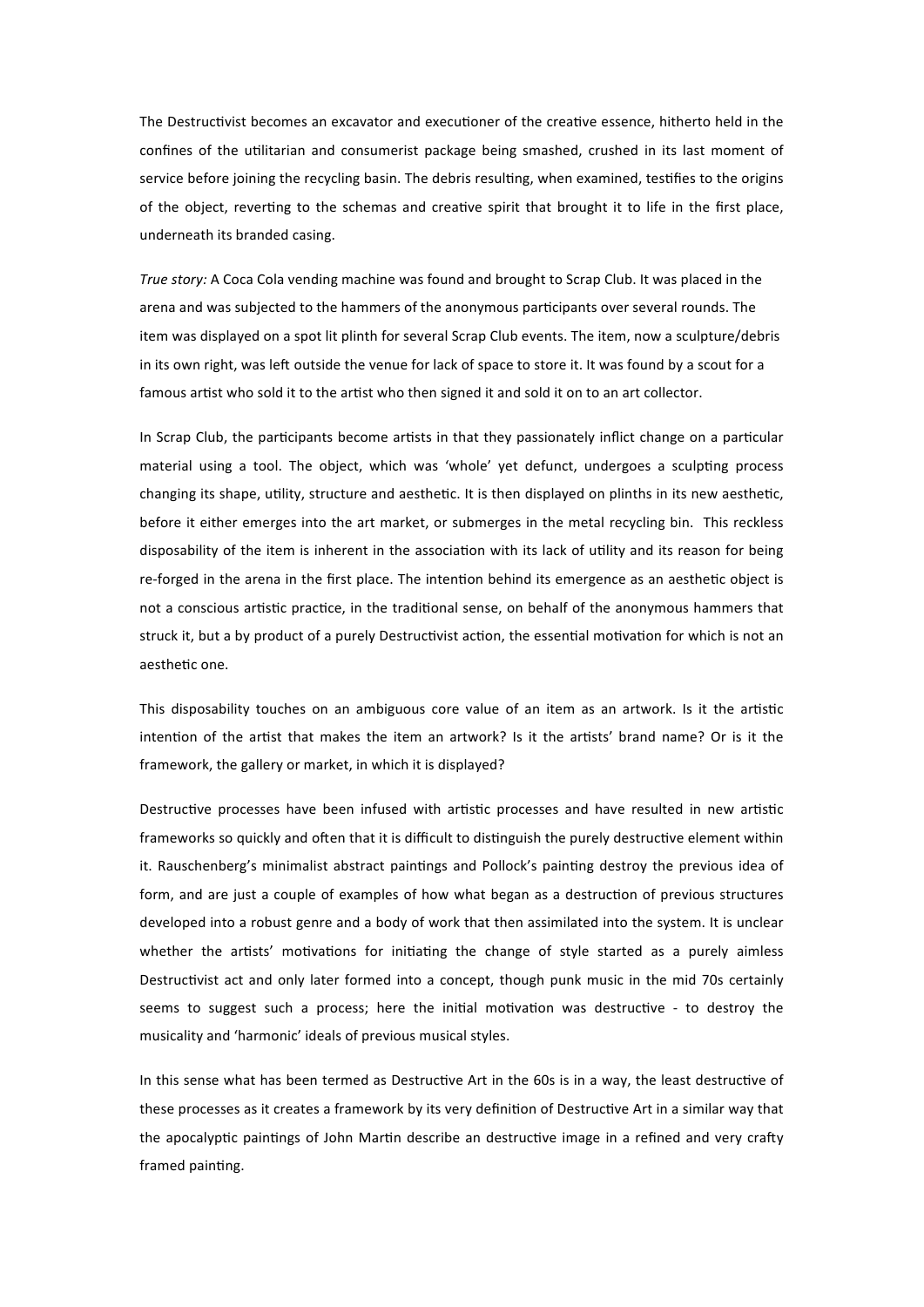The Destructivist becomes an excavator and executioner of the creative essence, hitherto held in the confines of the utilitarian and consumerist package being smashed, crushed in its last moment of service before joining the recycling basin. The debris resulting, when examined, testifies to the origins of the object, reverting to the schemas and creative spirit that brought it to life in the first place, underneath its branded casing.

*True story:* A Coca Cola vending machine was found and brought to Scrap Club. It was placed in the arena and was subjected to the hammers of the anonymous participants over several rounds. The item was displayed on a spot lit plinth for several Scrap Club events. The item, now a sculpture/debris in its own right, was left outside the venue for lack of space to store it. It was found by a scout for a famous artist who sold it to the artist who then signed it and sold it on to an art collector.

In Scrap Club, the participants become artists in that they passionately inflict change on a particular material using a tool. The object, which was 'whole' yet defunct, undergoes a sculpting process changing its shape, utility, structure and aesthetic. It is then displayed on plinths in its new aesthetic, before it either emerges into the art market, or submerges in the metal recycling bin. This reckless disposability of the item is inherent in the association with its lack of utility and its reason for being re-forged in the arena in the first place. The intention behind its emergence as an aesthetic object is not a conscious artistic practice, in the traditional sense, on behalf of the anonymous hammers that struck it, but a by product of a purely Destructivist action, the essential motivation for which is not an aesthetic one

This disposability touches on an ambiguous core value of an item as an artwork. Is it the artistic intention of the artist that makes the item an artwork? Is it the artists' brand name? Or is it the framework, the gallery or market, in which it is displayed?

Destructive processes have been infused with artistic processes and have resulted in new artistic frameworks so quickly and often that it is difficult to distinguish the purely destructive element within it. Rauschenberg's minimalist abstract paintings and Pollock's painting destroy the previous idea of form, and are just a couple of examples of how what began as a destruction of previous structures developed into a robust genre and a body of work that then assimilated into the system. It is unclear whether the artists' motivations for initiating the change of style started as a purely aimless Destructivist act and only later formed into a concept, though punk music in the mid 70s certainly seems to suggest such a process; here the initial motivation was destructive - to destroy the musicality and 'harmonic' ideals of previous musical styles.

In this sense what has been termed as Destructive Art in the 60s is in a way, the least destructive of these processes as it creates a framework by its very definition of Destructive Art in a similar way that the apocalyptic paintings of John Martin describe an destructive image in a refined and very crafty framed painting.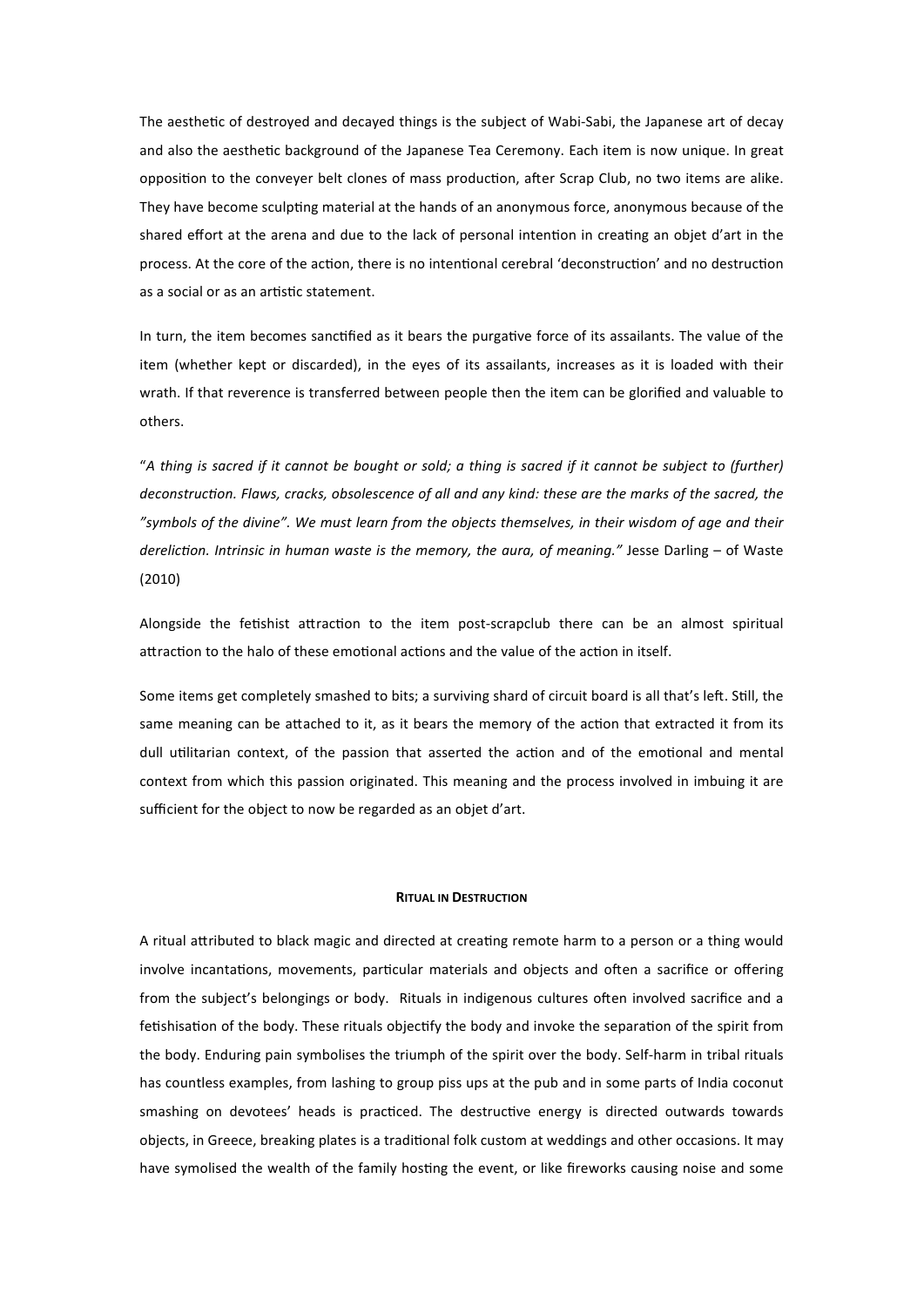The aesthetic of destroyed and decayed things is the subject of Wabi-Sabi, the Japanese art of decay and also the aesthetic background of the Japanese Tea Ceremony. Each item is now unique. In great opposition to the conveyer belt clones of mass production, after Scrap Club, no two items are alike. They have become sculpting material at the hands of an anonymous force, anonymous because of the shared effort at the arena and due to the lack of personal intention in creating an objet d'art in the process. At the core of the action, there is no intentional cerebral 'deconstruction' and no destruction as a social or as an artistic statement.

In turn, the item becomes sanctified as it bears the purgative force of its assailants. The value of the item (whether kept or discarded), in the eyes of its assailants, increases as it is loaded with their wrath. If that reverence is transferred between people then the item can be glorified and valuable to others.

"*A thing is sacred if it cannot be bought or sold; a thing is sacred if it cannot be subject to (further)*  deconstruction. Flaws, cracks, obsolescence of all and any kind: these are the marks of the sacred, the *"symbols of the divine". We must learn from the objects themselves, in their wisdom of age and their dereliction. Intrinsic in human waste is the memory, the aura, of meaning."* Jesse Darling – of Waste (2010)

Alongside the fetishist attraction to the item post-scrapclub there can be an almost spiritual attraction to the halo of these emotional actions and the value of the action in itself.

Some items get completely smashed to bits; a surviving shard of circuit board is all that's left. Still, the same meaning can be attached to it, as it bears the memory of the action that extracted it from its dull utilitarian context, of the passion that asserted the action and of the emotional and mental context from which this passion originated. This meaning and the process involved in imbuing it are sufficient for the object to now be regarded as an objet d'art.

### **RITUAL IN DESTRUCTION**

A ritual attributed to black magic and directed at creating remote harm to a person or a thing would involve incantations, movements, particular materials and objects and often a sacrifice or offering from the subject's belongings or body. Rituals in indigenous cultures oden involved sacrifice and a fetishisation of the body. These rituals objectify the body and invoke the separation of the spirit from the body. Enduring pain symbolises the triumph of the spirit over the body. Self-harm in tribal rituals has countless examples, from lashing to group piss ups at the pub and in some parts of India coconut smashing on devotees' heads is practiced. The destructive energy is directed outwards towards objects, in Greece, breaking plates is a traditional folk custom at weddings and other occasions. It may have symolised the wealth of the family hosting the event, or like fireworks causing noise and some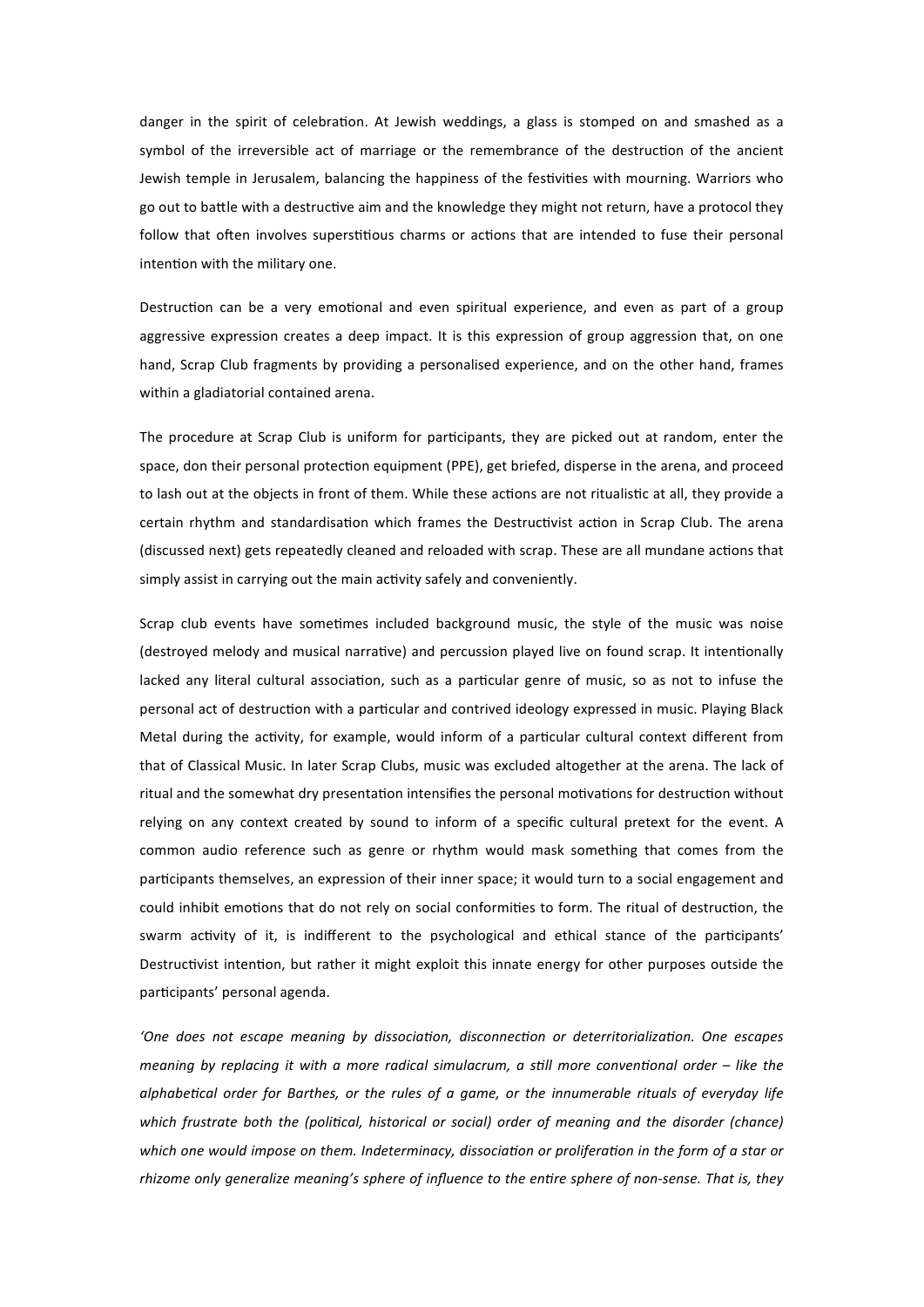danger in the spirit of celebration. At Jewish weddings, a glass is stomped on and smashed as a symbol of the irreversible act of marriage or the remembrance of the destruction of the ancient Jewish temple in Jerusalem, balancing the happiness of the festivities with mourning. Warriors who go out to battle with a destructive aim and the knowledge they might not return, have a protocol they follow that often involves superstitious charms or actions that are intended to fuse their personal intention with the military one.

Destruction can be a very emotional and even spiritual experience, and even as part of a group aggressive expression creates a deep impact. It is this expression of group aggression that, on one hand, Scrap Club fragments by providing a personalised experience, and on the other hand, frames within a gladiatorial contained arena.

The procedure at Scrap Club is uniform for participants, they are picked out at random, enter the space, don their personal protection equipment (PPE), get briefed, disperse in the arena, and proceed to lash out at the objects in front of them. While these actions are not ritualistic at all, they provide a certain rhythm and standardisation which frames the Destructivist action in Scrap Club. The arena (discussed next) gets repeatedly cleaned and reloaded with scrap. These are all mundane actions that simply assist in carrying out the main activity safely and conveniently.

Scrap club events have sometimes included background music, the style of the music was noise (destroyed melody and musical narrative) and percussion played live on found scrap. It intentionally lacked any literal cultural association, such as a particular genre of music, so as not to infuse the personal act of destruction with a particular and contrived ideology expressed in music. Playing Black Metal during the activity, for example, would inform of a particular cultural context different from that of Classical Music. In later Scrap Clubs, music was excluded altogether at the arena. The lack of ritual and the somewhat dry presentation intensifies the personal motivations for destruction without relying on any context created by sound to inform of a specific cultural pretext for the event. A common audio reference such as genre or rhythm would mask something that comes from the participants themselves, an expression of their inner space; it would turn to a social engagement and could inhibit emotions that do not rely on social conformities to form. The ritual of destruction, the swarm activity of it, is indifferent to the psychological and ethical stance of the participants' Destructivist intention, but rather it might exploit this innate energy for other purposes outside the participants' personal agenda.

'One does not escape meaning by dissociation, disconnection or deterritorialization. One escapes *meaning by replacing it with a more radical simulacrum, a still more conventional order – like the* alphabetical order for Barthes, or the rules of a game, or the innumerable rituals of everyday life *which frustrate both the (political, historical or social) order of meaning and the disorder (chance)* which one would impose on them. Indeterminacy, dissociation or proliferation in the form of a star or *rhizome only generalize meaning's sphere of influence to the entire sphere of non-sense. That is, they*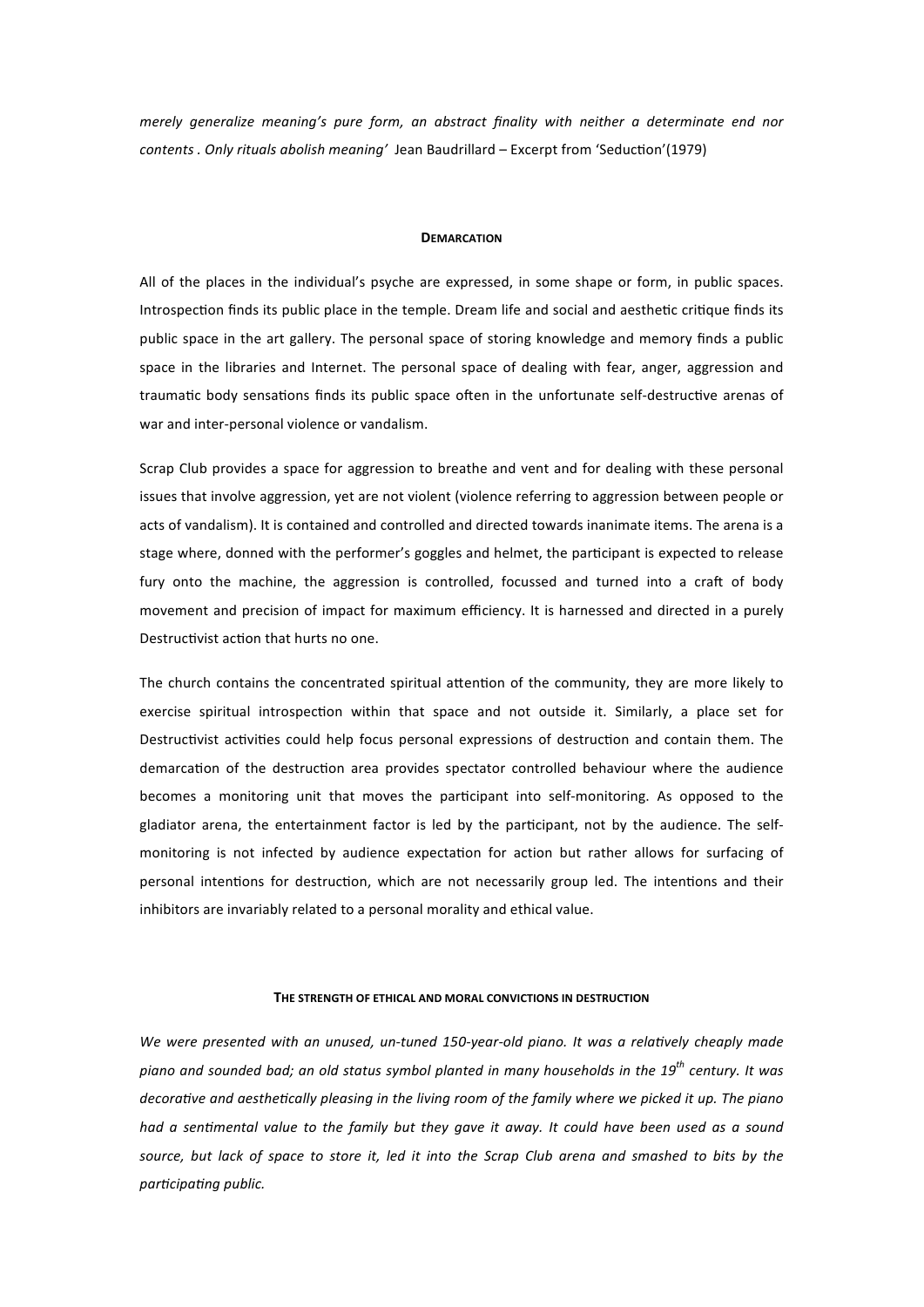*merely generalize meaning's pure form, an abstract finality with neither a determinate end nor contents . Only rituals abolish meaning'* Jean Baudrillard – Excerpt from 'Seduction'(1979)

#### **DEMARCATION**

All of the places in the individual's psyche are expressed, in some shape or form, in public spaces. Introspection finds its public place in the temple. Dream life and social and aesthetic critique finds its public space in the art gallery. The personal space of storing knowledge and memory finds a public space in the libraries and Internet. The personal space of dealing with fear, anger, aggression and traumatic body sensations finds its public space often in the unfortunate self-destructive arenas of war and inter‐personal violence or vandalism.

Scrap Club provides a space for aggression to breathe and vent and for dealing with these personal issues that involve aggression, yet are not violent (violence referring to aggression between people or acts of vandalism). It is contained and controlled and directed towards inanimate items. The arena is a stage where, donned with the performer's goggles and helmet, the participant is expected to release fury onto the machine, the aggression is controlled, focussed and turned into a craft of body movement and precision of impact for maximum efficiency. It is harnessed and directed in a purely Destructivist action that hurts no one.

The church contains the concentrated spiritual attention of the community, they are more likely to exercise spiritual introspection within that space and not outside it. Similarly, a place set for Destructivist activities could help focus personal expressions of destruction and contain them. The demarcation of the destruction area provides spectator controlled behaviour where the audience becomes a monitoring unit that moves the participant into self-monitoring. As opposed to the gladiator arena, the entertainment factor is led by the participant, not by the audience. The selfmonitoring is not infected by audience expectation for action but rather allows for surfacing of personal intentions for destruction, which are not necessarily group led. The intentions and their inhibitors are invariably related to a personal morality and ethical value.

### **THE STRENGTH OF ETHICAL AND MORAL CONVICTIONS IN DESTRUCTION**

*We were presented with an unused, un-tuned 150-year-old piano. It was a relatively cheaply made piano and sounded bad; an old status symbol planted in many households in the 19th century. It was*  decorative and aesthetically pleasing in the living room of the family where we picked it up. The piano *had a sentimental value to the family but they gave it away. It could have been used as a sound source, but lack of space to store it, led it into the Scrap Club arena and smashed to bits by the*   $participating public.$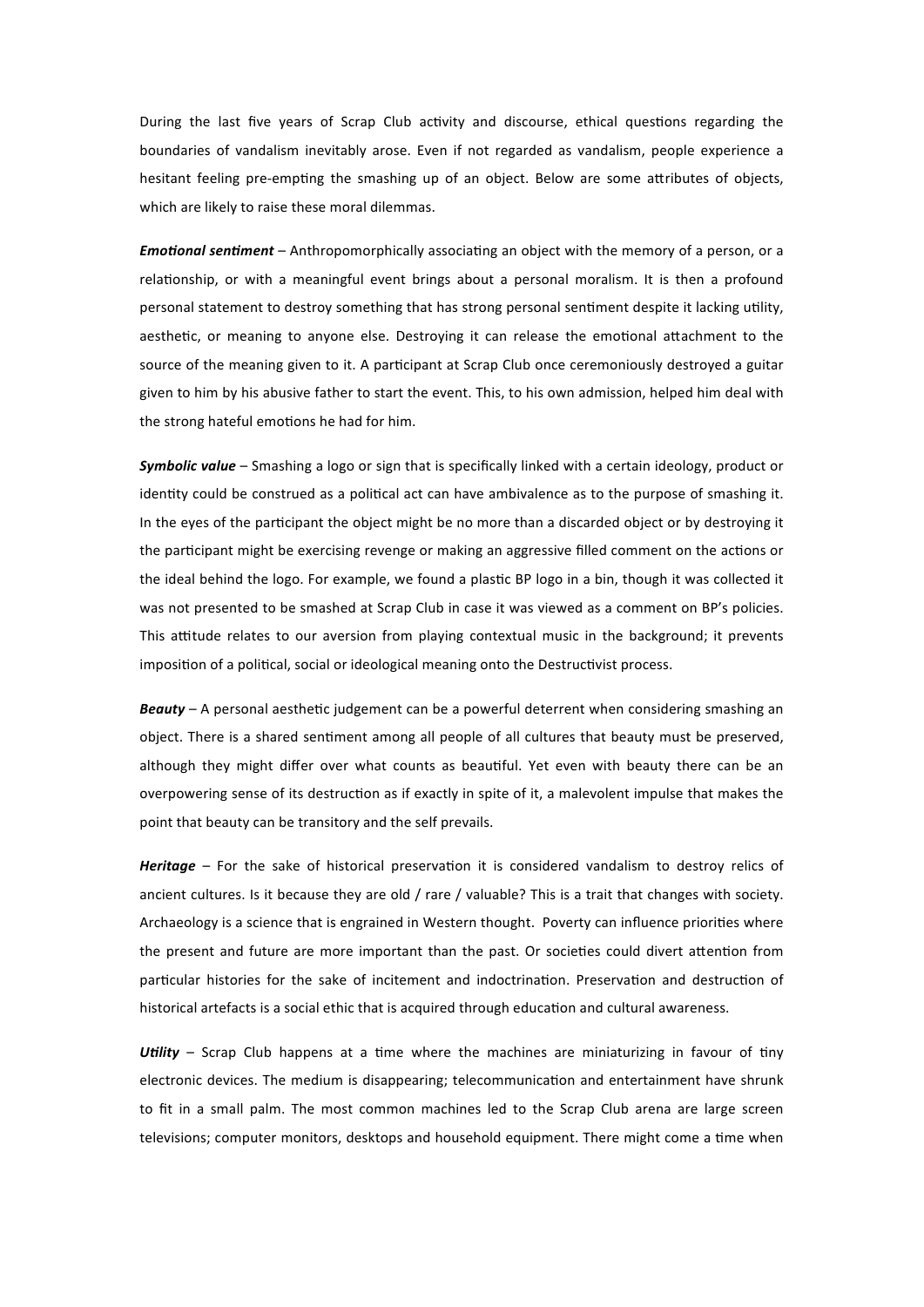During the last five years of Scrap Club activity and discourse, ethical questions regarding the boundaries of vandalism inevitably arose. Even if not regarded as vandalism, people experience a hesitant feeling pre-empting the smashing up of an object. Below are some attributes of objects, which are likely to raise these moral dilemmas.

*Emotional sentiment* – Anthropomorphically associating an object with the memory of a person, or a relationship, or with a meaningful event brings about a personal moralism. It is then a profound personal statement to destroy something that has strong personal sentiment despite it lacking utility, aesthetic, or meaning to anyone else. Destroying it can release the emotional attachment to the source of the meaning given to it. A participant at Scrap Club once ceremoniously destroyed a guitar given to him by his abusive father to start the event. This, to his own admission, helped him deal with the strong hateful emotions he had for him.

*Symbolic value* – Smashing a logo or sign that is specifically linked with a certain ideology, product or identity could be construed as a political act can have ambivalence as to the purpose of smashing it. In the eyes of the participant the object might be no more than a discarded object or by destroying it the participant might be exercising revenge or making an aggressive filled comment on the actions or the ideal behind the logo. For example, we found a plastic BP logo in a bin, though it was collected it was not presented to be smashed at Scrap Club in case it was viewed as a comment on BP's policies. This attitude relates to our aversion from playing contextual music in the background; it prevents imposition of a political, social or ideological meaning onto the Destructivist process.

**Beauty** – A personal aesthetic judgement can be a powerful deterrent when considering smashing an object. There is a shared sentiment among all people of all cultures that beauty must be preserved, although they might differ over what counts as beautiful. Yet even with beauty there can be an overpowering sense of its destruction as if exactly in spite of it, a malevolent impulse that makes the point that beauty can be transitory and the self prevails.

*Heritage* – For the sake of historical preservation it is considered vandalism to destroy relics of ancient cultures. Is it because they are old / rare / valuable? This is a trait that changes with society. Archaeology is a science that is engrained in Western thought. Poverty can influence priorities where the present and future are more important than the past. Or societies could divert attention from particular histories for the sake of incitement and indoctrination. Preservation and destruction of historical artefacts is a social ethic that is acquired through education and cultural awareness.

Utility – Scrap Club happens at a time where the machines are miniaturizing in favour of tiny electronic devices. The medium is disappearing; telecommunication and entertainment have shrunk to fit in a small palm. The most common machines led to the Scrap Club arena are large screen televisions; computer monitors, desktops and household equipment. There might come a time when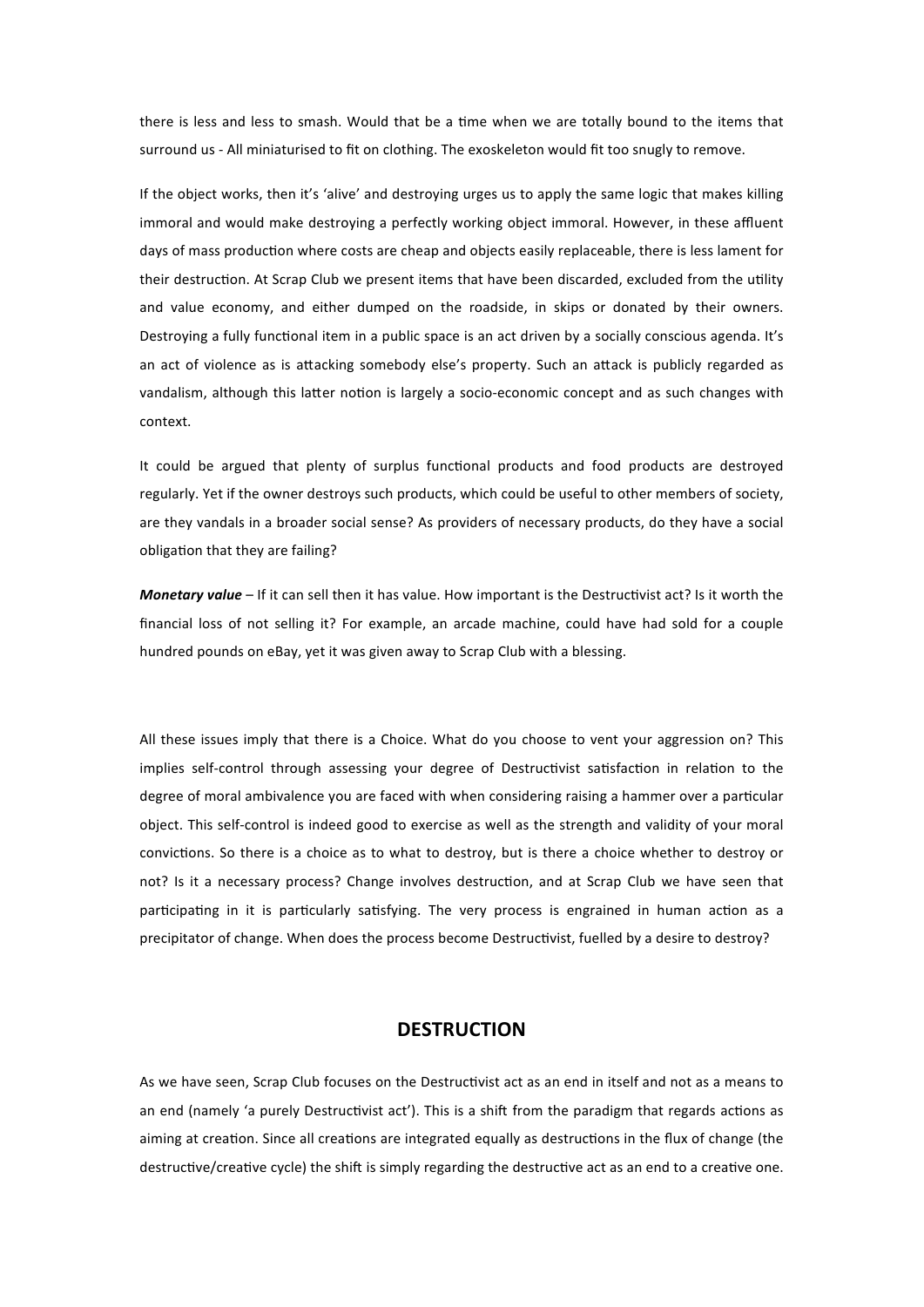there is less and less to smash. Would that be a time when we are totally bound to the items that surround us - All miniaturised to fit on clothing. The exoskeleton would fit too snugly to remove.

If the object works, then it's 'alive' and destroying urges us to apply the same logic that makes killing immoral and would make destroying a perfectly working object immoral. However, in these affluent days of mass production where costs are cheap and objects easily replaceable, there is less lament for their destruction. At Scrap Club we present items that have been discarded, excluded from the utility and value economy, and either dumped on the roadside, in skips or donated by their owners. Destroying a fully functional item in a public space is an act driven by a socially conscious agenda. It's an act of violence as is attacking somebody else's property. Such an attack is publicly regarded as vandalism, although this latter notion is largely a socio-economic concept and as such changes with context.

It could be argued that plenty of surplus functional products and food products are destroyed regularly. Yet if the owner destroys such products, which could be useful to other members of society, are they vandals in a broader social sense? As providers of necessary products, do they have a social obligation that they are failing?

*Monetary value* – If it can sell then it has value. How important is the Destructivist act? Is it worth the financial loss of not selling it? For example, an arcade machine, could have had sold for a couple hundred pounds on eBay, yet it was given away to Scrap Club with a blessing.

All these issues imply that there is a Choice. What do you choose to vent your aggression on? This implies self-control through assessing your degree of Destructivist satisfaction in relation to the degree of moral ambivalence you are faced with when considering raising a hammer over a particular object. This self‐control is indeed good to exercise as well as the strength and validity of your moral convictions. So there is a choice as to what to destroy, but is there a choice whether to destroy or not? Is it a necessary process? Change involves destruction, and at Scrap Club we have seen that participating in it is particularly satisfying. The very process is engrained in human action as a precipitator of change. When does the process become Destructivist, fuelled by a desire to destroy?

# **DESTRUCTION**

As we have seen, Scrap Club focuses on the Destructivist act as an end in itself and not as a means to an end (namely 'a purely Destructivist act'). This is a shift from the paradigm that regards actions as aiming at creation. Since all creations are integrated equally as destructions in the flux of change (the destructive/creative cycle) the shift is simply regarding the destructive act as an end to a creative one.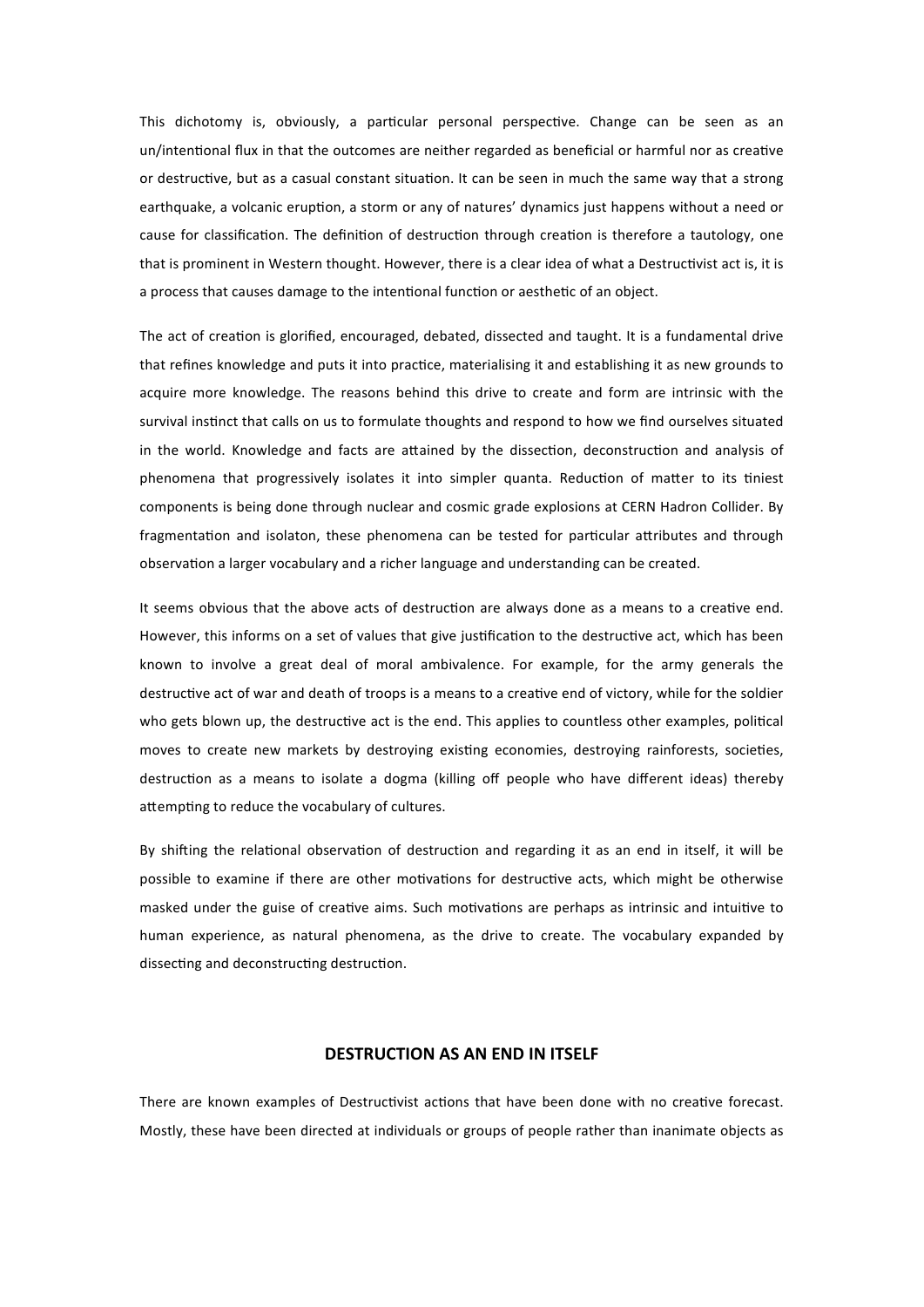This dichotomy is, obviously, a particular personal perspective. Change can be seen as an un/intentional flux in that the outcomes are neither regarded as beneficial or harmful nor as creative or destructive, but as a casual constant situation. It can be seen in much the same way that a strong earthquake, a volcanic eruption, a storm or any of natures' dynamics just happens without a need or cause for classification. The definition of destruction through creation is therefore a tautology, one that is prominent in Western thought. However, there is a clear idea of what a Destructivist act is, it is a process that causes damage to the intentional function or aesthetic of an object.

The act of creation is glorified, encouraged, debated, dissected and taught. It is a fundamental drive that refines knowledge and puts it into practice, materialising it and establishing it as new grounds to acquire more knowledge. The reasons behind this drive to create and form are intrinsic with the survival instinct that calls on us to formulate thoughts and respond to how we find ourselves situated in the world. Knowledge and facts are attained by the dissection, deconstruction and analysis of phenomena that progressively isolates it into simpler quanta. Reduction of matter to its tiniest components is being done through nuclear and cosmic grade explosions at CERN Hadron Collider. By fragmentation and isolaton, these phenomena can be tested for particular attributes and through observation a larger vocabulary and a richer language and understanding can be created.

It seems obvious that the above acts of destruction are always done as a means to a creative end. However, this informs on a set of values that give justification to the destructive act, which has been known to involve a great deal of moral ambivalence. For example, for the army generals the destructive act of war and death of troops is a means to a creative end of victory, while for the soldier who gets blown up, the destructive act is the end. This applies to countless other examples, political moves to create new markets by destroying existing economies, destroying rainforests, societies, destruction as a means to isolate a dogma (killing off people who have different ideas) thereby attempting to reduce the vocabulary of cultures.

By shifting the relational observation of destruction and regarding it as an end in itself, it will be possible to examine if there are other motivations for destructive acts, which might be otherwise masked under the guise of creative aims. Such motivations are perhaps as intrinsic and intuitive to human experience, as natural phenomena, as the drive to create. The vocabulary expanded by dissecting and deconstructing destruction.

### **DESTRUCTION AS AN END IN ITSELF**

There are known examples of Destructivist actions that have been done with no creative forecast. Mostly, these have been directed at individuals or groups of people rather than inanimate objects as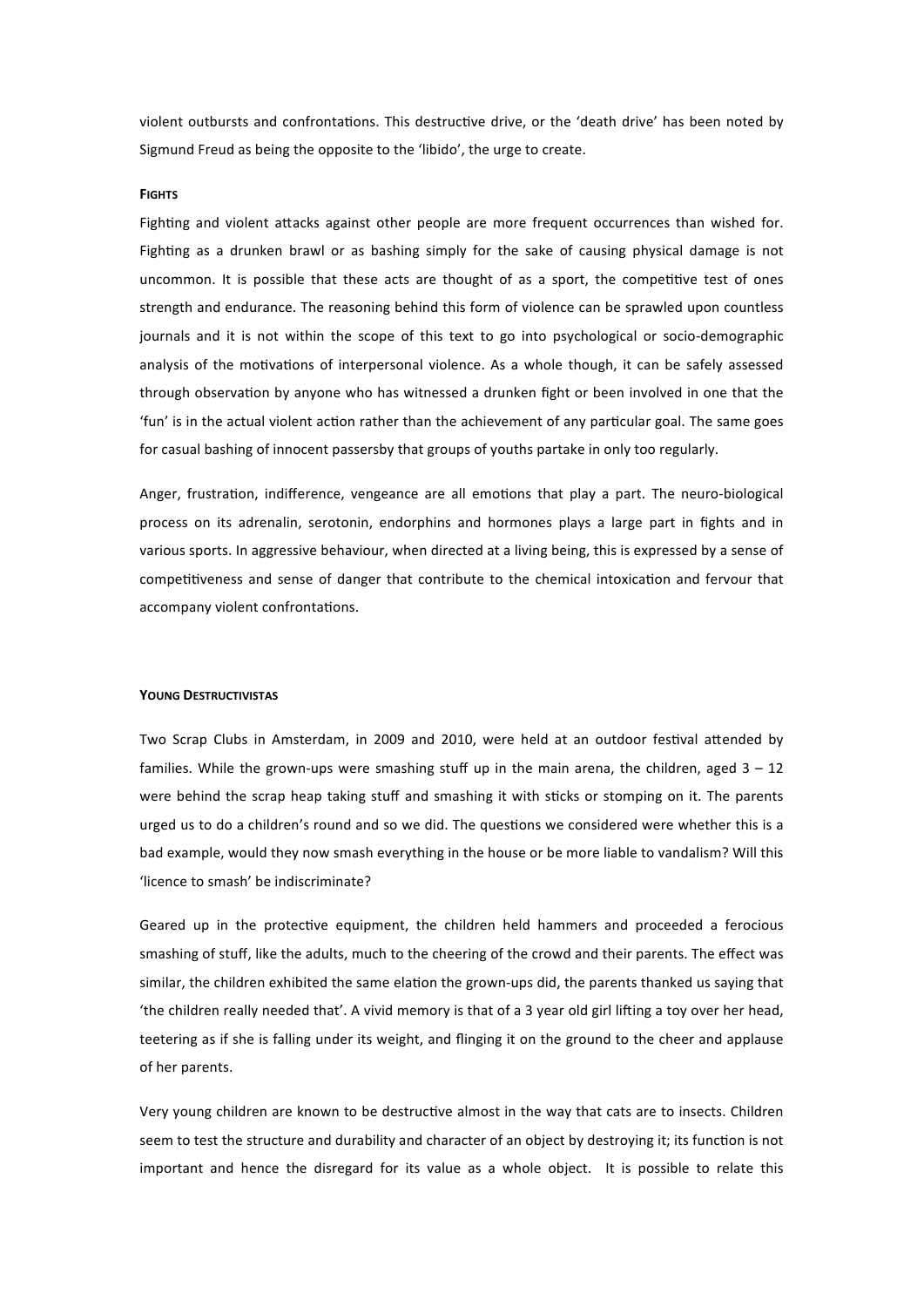violent outbursts and confrontations. This destructive drive, or the 'death drive' has been noted by Sigmund Freud as being the opposite to the 'libido', the urge to create.

## **FIGHTS**

Fighting and violent attacks against other people are more frequent occurrences than wished for. Fighting as a drunken brawl or as bashing simply for the sake of causing physical damage is not uncommon. It is possible that these acts are thought of as a sport, the competitive test of ones strength and endurance. The reasoning behind this form of violence can be sprawled upon countless journals and it is not within the scope of this text to go into psychological or socio-demographic analysis of the motivations of interpersonal violence. As a whole though, it can be safely assessed through observation by anyone who has witnessed a drunken fight or been involved in one that the 'fun' is in the actual violent action rather than the achievement of any particular goal. The same goes for casual bashing of innocent passersby that groups of youths partake in only too regularly.

Anger, frustration, indifference, vengeance are all emotions that play a part. The neuro-biological process on its adrenalin, serotonin, endorphins and hormones plays a large part in fights and in various sports. In aggressive behaviour, when directed at a living being, this is expressed by a sense of competitiveness and sense of danger that contribute to the chemical intoxication and fervour that accompany violent confrontations.

### **YOUNG DESTRUCTIVISTAS**

Two Scrap Clubs in Amsterdam, in 2009 and 2010, were held at an outdoor festival attended by families. While the grown-ups were smashing stuff up in the main arena, the children, aged  $3 - 12$ were behind the scrap heap taking stuff and smashing it with sticks or stomping on it. The parents urged us to do a children's round and so we did. The questions we considered were whether this is a bad example, would they now smash everything in the house or be more liable to vandalism? Will this 'licence to smash' be indiscriminate?

Geared up in the protective equipment, the children held hammers and proceeded a ferocious smashing of stuff, like the adults, much to the cheering of the crowd and their parents. The effect was similar, the children exhibited the same elation the grown-ups did, the parents thanked us saying that 'the children really needed that'. A vivid memory is that of a 3 year old girl liding a toy over her head, teetering as if she is falling under its weight, and flinging it on the ground to the cheer and applause of her parents.

Very young children are known to be destructive almost in the way that cats are to insects. Children seem to test the structure and durability and character of an object by destroying it; its function is not important and hence the disregard for its value as a whole object. It is possible to relate this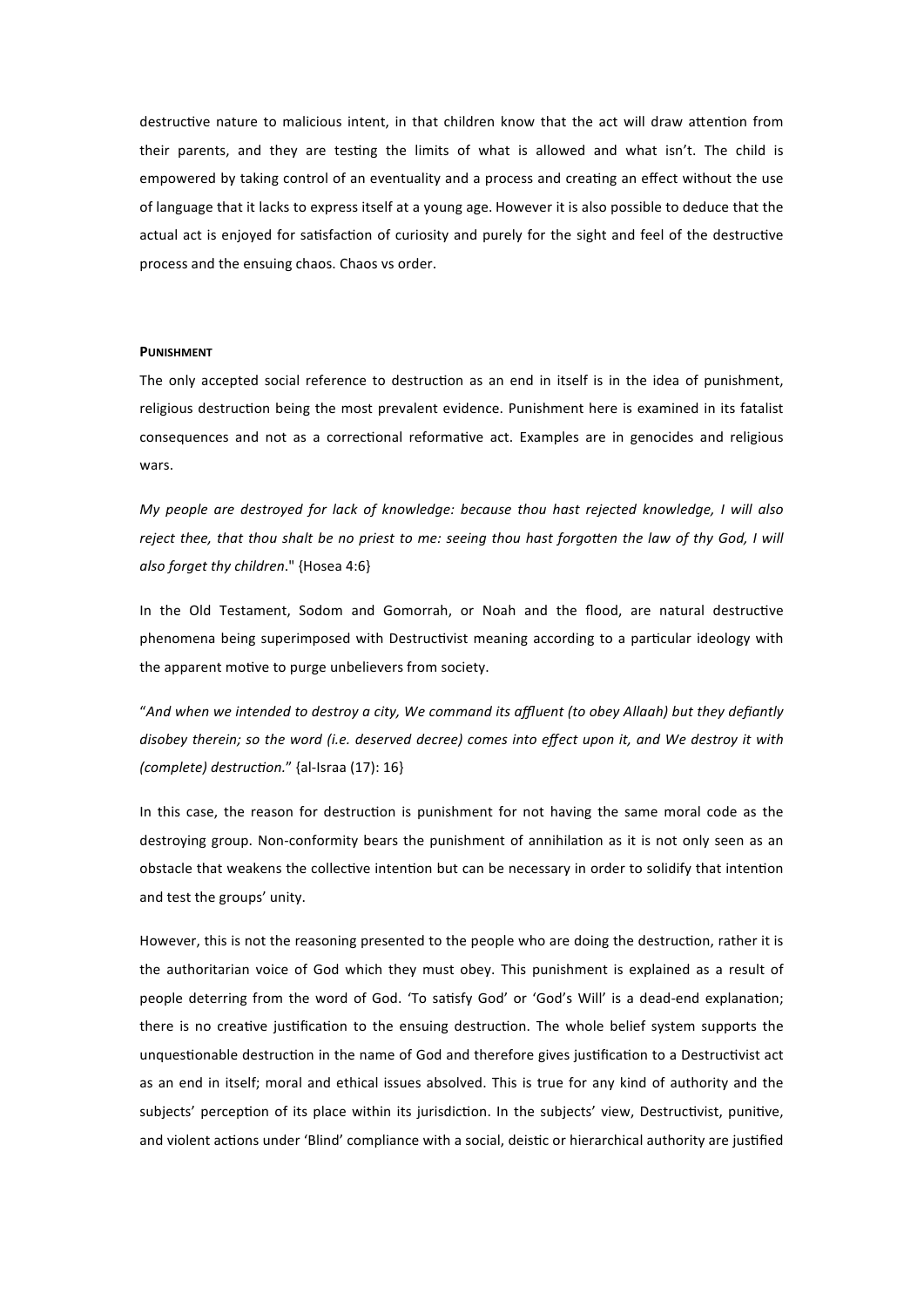destructive nature to malicious intent, in that children know that the act will draw attention from their parents, and they are testing the limits of what is allowed and what isn't. The child is empowered by taking control of an eventuality and a process and creating an effect without the use of language that it lacks to express itself at a young age. However it is also possible to deduce that the actual act is enjoyed for satisfaction of curiosity and purely for the sight and feel of the destructive process and the ensuing chaos. Chaos vs order.

#### **PUNISHMENT**

The only accepted social reference to destruction as an end in itself is in the idea of punishment, religious destruction being the most prevalent evidence. Punishment here is examined in its fatalist consequences and not as a correctional reformative act. Examples are in genocides and religious wars.

*My people are destroyed for lack of knowledge: because thou hast rejected knowledge, I will also reject thee, that thou shalt be no priest to me: seeing thou hast forgotten the law of thy God, I will also forget thy children*." {Hosea 4:6}

In the Old Testament, Sodom and Gomorrah, or Noah and the flood, are natural destructive phenomena being superimposed with Destructivist meaning according to a particular ideology with the apparent motive to purge unbelievers from society.

"*And when we intended to destroy a city, We command its affluent (to obey Allaah) but they defiantly disobey therein; so the word (i.e. deserved decree) comes into effect upon it, and We destroy it with (complete) destruction."* {al-Israa (17): 16}

In this case, the reason for destruction is punishment for not having the same moral code as the destroying group. Non-conformity bears the punishment of annihilation as it is not only seen as an obstacle that weakens the collective intention but can be necessary in order to solidify that intention and test the groups' unity.

However, this is not the reasoning presented to the people who are doing the destruction, rather it is the authoritarian voice of God which they must obey. This punishment is explained as a result of people deterring from the word of God. 'To satisfy God' or 'God's Will' is a dead-end explanation; there is no creative justification to the ensuing destruction. The whole belief system supports the unquestionable destruction in the name of God and therefore gives justification to a Destructivist act as an end in itself; moral and ethical issues absolved. This is true for any kind of authority and the subjects' perception of its place within its jurisdiction. In the subjects' view, Destructivist, punitive, and violent actions under 'Blind' compliance with a social, deistic or hierarchical authority are justified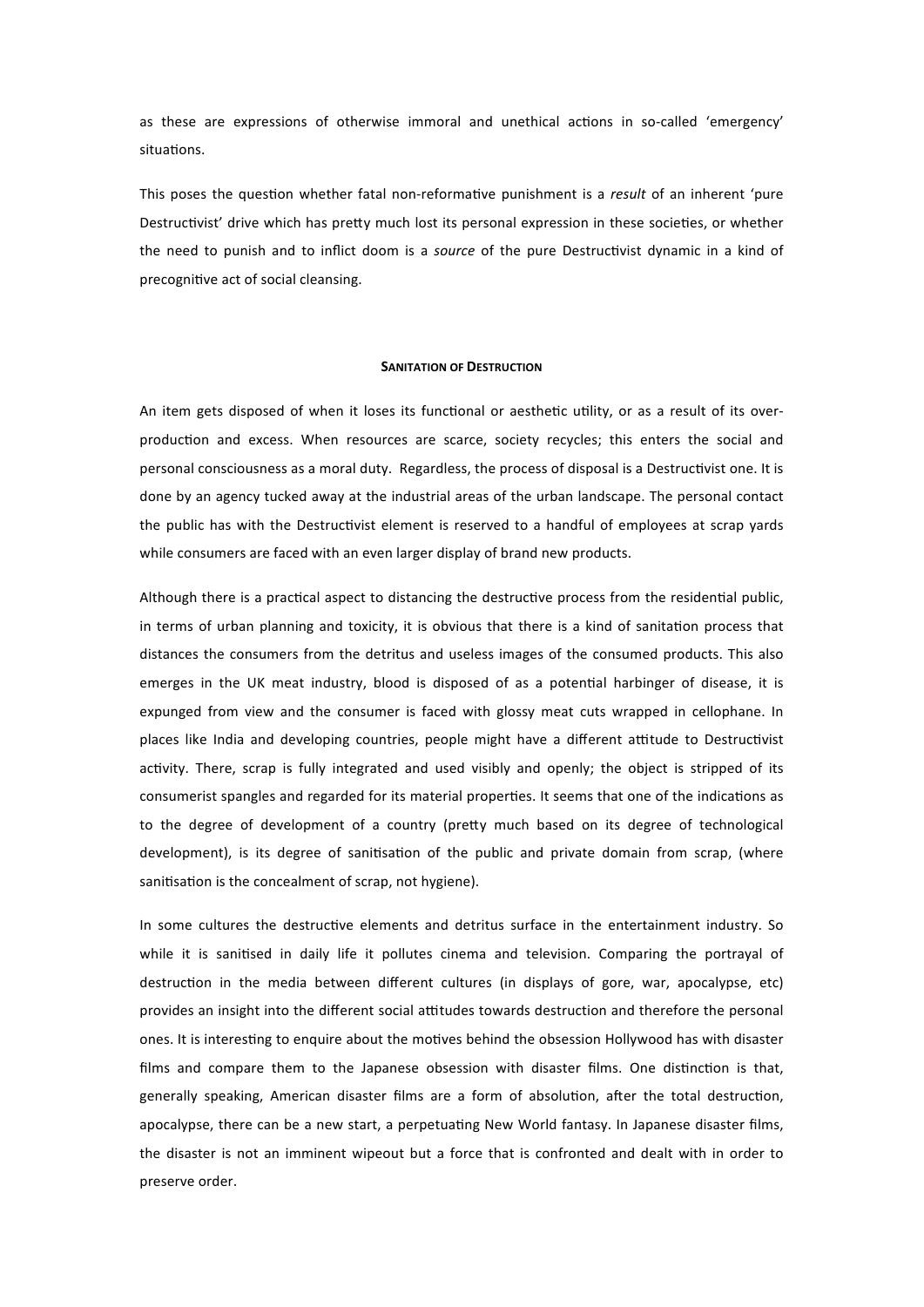as these are expressions of otherwise immoral and unethical actions in so-called 'emergency' situations

This poses the question whether fatal non-reformative punishment is a *result* of an inherent 'pure Destructivist' drive which has pretty much lost its personal expression in these societies, or whether the need to punish and to inflict doom is a *source* of the pure Destructivist dynamic in a kind of precognitive act of social cleansing.

## **SANITATION OF DESTRUCTION**

An item gets disposed of when it loses its functional or aesthetic utility, or as a result of its overproduction and excess. When resources are scarce, society recycles; this enters the social and personal consciousness as a moral duty. Regardless, the process of disposal is a Destructivist one. It is done by an agency tucked away at the industrial areas of the urban landscape. The personal contact the public has with the Destructivist element is reserved to a handful of employees at scrap yards while consumers are faced with an even larger display of brand new products.

Although there is a practical aspect to distancing the destructive process from the residential public, in terms of urban planning and toxicity, it is obvious that there is a kind of sanitation process that distances the consumers from the detritus and useless images of the consumed products. This also emerges in the UK meat industry, blood is disposed of as a potential harbinger of disease, it is expunged from view and the consumer is faced with glossy meat cuts wrapped in cellophane. In places like India and developing countries, people might have a different attitude to Destructivist activity. There, scrap is fully integrated and used visibly and openly; the object is stripped of its consumerist spangles and regarded for its material properties. It seems that one of the indications as to the degree of development of a country (pretty much based on its degree of technological development), is its degree of sanitisation of the public and private domain from scrap, (where sanitisation is the concealment of scrap, not hygiene).

In some cultures the destructive elements and detritus surface in the entertainment industry. So while it is sanitised in daily life it pollutes cinema and television. Comparing the portrayal of destruction in the media between different cultures (in displays of gore, war, apocalypse, etc) provides an insight into the different social attitudes towards destruction and therefore the personal ones. It is interesting to enquire about the motives behind the obsession Hollywood has with disaster films and compare them to the Japanese obsession with disaster films. One distinction is that, generally speaking, American disaster films are a form of absolution, after the total destruction, apocalypse, there can be a new start, a perpetuating New World fantasy. In Japanese disaster films, the disaster is not an imminent wipeout but a force that is confronted and dealt with in order to preserve order.